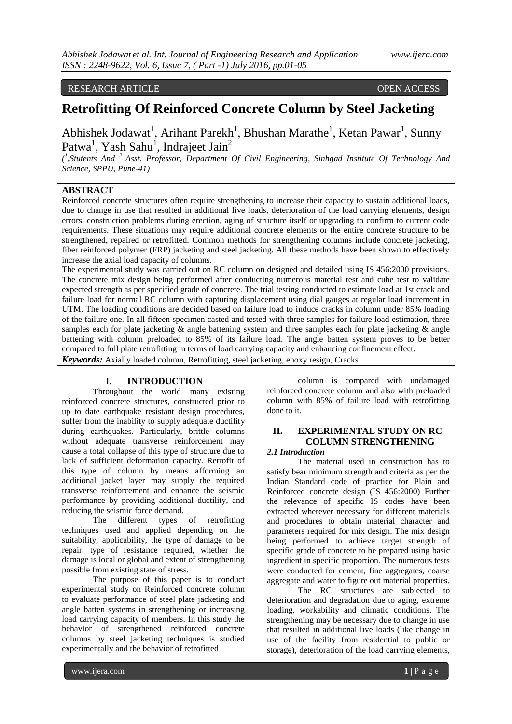RESEARCH ARTICLE OPEN ACCESS

# **Retrofitting Of Reinforced Concrete Column by Steel Jacketing**

Abhishek Jodawat<sup>1</sup>, Arihant Parekh<sup>1</sup>, Bhushan Marathe<sup>1</sup>, Ketan Pawar<sup>1</sup>, Sunny Patwa<sup>1</sup>, Yash Sahu<sup>1</sup>, Indrajeet Jain<sup>2</sup>

*( 1 .Stutents And <sup>2</sup>Asst. Professor, Department Of Civil Engineering, Sinhgad Institute Of Technology And Science, SPPU, Pune-41)*

## **ABSTRACT**

Reinforced concrete structures often require strengthening to increase their capacity to sustain additional loads, due to change in use that resulted in additional live loads, deterioration of the load carrying elements, design errors, construction problems during erection, aging of structure itself or upgrading to confirm to current code requirements. These situations may require additional concrete elements or the entire concrete structure to be strengthened, repaired or retrofitted. Common methods for strengthening columns include concrete jacketing, fiber reinforced polymer (FRP) jacketing and steel jacketing. All these methods have been shown to effectively increase the axial load capacity of columns.

The experimental study was carried out on RC column on designed and detailed using IS 456:2000 provisions. The concrete mix design being performed after conducting numerous material test and cube test to validate expected strength as per specified grade of concrete. The trial testing conducted to estimate load at 1st crack and failure load for normal RC column with capturing displacement using dial gauges at regular load increment in UTM. The loading conditions are decided based on failure load to induce cracks in column under 85% loading of the failure one. In all fifteen specimen casted and tested with three samples for failure load estimation, three samples each for plate jacketing & angle battening system and three samples each for plate jacketing & angle battening with column preloaded to 85% of its failure load. The angle batten system proves to be better compared to full plate retrofitting in terms of load carrying capacity and enhancing confinement effect.

*Keywords:* Axially loaded column, Retrofitting, steel jacketing, epoxy resign, Cracks

#### **I. INTRODUCTION**

Throughout the world many existing reinforced concrete structures, constructed prior to up to date earthquake resistant design procedures, suffer from the inability to supply adequate ductility during earthquakes. Particularly, brittle columns without adequate transverse reinforcement may cause a total collapse of this type of structure due to lack of sufficient deformation capacity. Retrofit of this type of column by means afforming an additional jacket layer may supply the required transverse reinforcement and enhance the seismic performance by providing additional ductility, and reducing the seismic force demand.

The different types of retrofitting techniques used and applied depending on the suitability, applicability, the type of damage to be repair, type of resistance required, whether the damage is local or global and extent of strengthening possible from existing state of stress.

The purpose of this paper is to conduct experimental study on Reinforced concrete column to evaluate performance of steel plate jacketing and angle batten systems in strengthening or increasing load carrying capacity of members. In this study the behavior of strengthened reinforced concrete columns by steel jacketing techniques is studied experimentally and the behavior of retrofitted

column is compared with undamaged reinforced concrete column and also with preloaded column with 85% of failure load with retrofitting done to it.

## **II. EXPERIMENTAL STUDY ON RC COLUMN STRENGTHENING**

## *2.1 Introduction*

The material used in construction has to satisfy bear minimum strength and criteria as per the Indian Standard code of practice for Plain and Reinforced concrete design (IS 456:2000) Further the relevance of specific IS codes have been extracted wherever necessary for different materials and procedures to obtain material character and parameters required for mix design. The mix design being performed to achieve target strength of specific grade of concrete to be prepared using basic ingredient in specific proportion. The numerous tests were conducted for cement, fine aggregates, coarse aggregate and water to figure out material properties.

The RC structures are subjected to deterioration and degradation due to aging, extreme loading, workability and climatic conditions. The strengthening may be necessary due to change in use that resulted in additional live loads (like change in use of the facility from residential to public or storage), deterioration of the load carrying elements,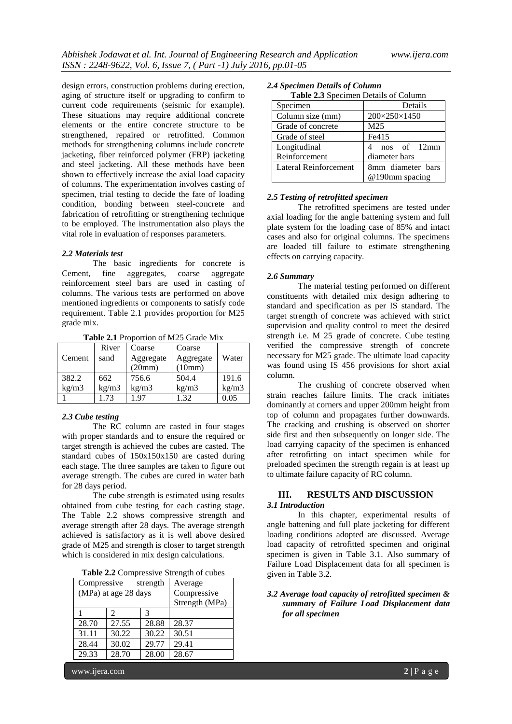design errors, construction problems during erection, aging of structure itself or upgrading to confirm to current code requirements (seismic for example). These situations may require additional concrete elements or the entire concrete structure to be strengthened, repaired or retrofitted. Common methods for strengthening columns include concrete jacketing, fiber reinforced polymer (FRP) jacketing and steel jacketing. All these methods have been shown to effectively increase the axial load capacity of columns. The experimentation involves casting of specimen, trial testing to decide the fate of loading condition, bonding between steel-concrete and fabrication of retrofitting or strengthening technique to be employed. The instrumentation also plays the vital role in evaluation of responses parameters.

#### *2.2 Materials test*

The basic ingredients for concrete is Cement, fine aggregates, coarse aggregate reinforcement steel bars are used in casting of columns. The various tests are performed on above mentioned ingredients or components to satisfy code requirement. Table 2.1 provides proportion for M25 grade mix.

|        | River | Coarse    | Coarse    |       |  |  |
|--------|-------|-----------|-----------|-------|--|--|
| Cement | sand  | Aggregate | Aggregate | Water |  |  |
|        |       | (20mm)    | (10mm)    |       |  |  |
| 382.2  | 662   | 756.6     | 504.4     | 191.6 |  |  |
| kg/m3  | kg/m3 | kg/m3     | kg/m3     | kg/m3 |  |  |
|        | 1.73  | 197       | 1.32      | 0.05  |  |  |

**Table 2.1** Proportion of M25 Grade Mix

#### *2.3 Cube testing*

The RC column are casted in four stages with proper standards and to ensure the required or target strength is achieved the cubes are casted. The standard cubes of 150x150x150 are casted during each stage. The three samples are taken to figure out average strength. The cubes are cured in water bath for 28 days period.

The cube strength is estimated using results obtained from cube testing for each casting stage. The Table 2.2 shows compressive strength and average strength after 28 days. The average strength achieved is satisfactory as it is well above desired grade of M25 and strength is closer to target strength which is considered in mix design calculations.

| Compressive<br>strength |                             |               | Average        |  |
|-------------------------|-----------------------------|---------------|----------------|--|
| (MPa) at age 28 days    |                             |               | Compressive    |  |
|                         |                             |               | Strength (MPa) |  |
|                         | $\mathcal{D}_{\mathcal{A}}$ | $\mathcal{R}$ |                |  |
| 28.70                   | 27.55                       | 28.88         | 28.37          |  |
| 31.11                   | 30.22                       | 30.22         | 30.51          |  |
| 28.44                   | 30.02                       | 29.77         | 29.41          |  |
| 29.33                   | 28.70                       | 28.00         | 28.67          |  |

*2.4 Specimen Details of Column*

| $\frac{1}{2}$ and $\frac{1}{2}$ become the beating of coronal points |                   |  |  |  |  |  |
|----------------------------------------------------------------------|-------------------|--|--|--|--|--|
| Specimen                                                             | Details           |  |  |  |  |  |
| Column size (mm)                                                     | 200×250×1450      |  |  |  |  |  |
| Grade of concrete                                                    | M <sub>25</sub>   |  |  |  |  |  |
| Grade of steel                                                       | Fe415             |  |  |  |  |  |
| Longitudinal                                                         | nos of 12mm       |  |  |  |  |  |
| Reinforcement                                                        | diameter bars     |  |  |  |  |  |
| Lateral Reinforcement                                                | 8mm diameter bars |  |  |  |  |  |
|                                                                      | @190mm spacing    |  |  |  |  |  |

#### *2.5 Testing of retrofitted specimen*

The retrofitted specimens are tested under axial loading for the angle battening system and full plate system for the loading case of 85% and intact cases and also for original columns. The specimens are loaded till failure to estimate strengthening effects on carrying capacity.

### *2.6 Summary*

The material testing performed on different constituents with detailed mix design adhering to standard and specification as per IS standard. The target strength of concrete was achieved with strict supervision and quality control to meet the desired strength i.e. M 25 grade of concrete. Cube testing verified the compressive strength of concrete necessary for M25 grade. The ultimate load capacity was found using IS 456 provisions for short axial column.

The crushing of concrete observed when strain reaches failure limits. The crack initiates dominantly at corners and upper 200mm height from top of column and propagates further downwards. The cracking and crushing is observed on shorter side first and then subsequently on longer side. The load carrying capacity of the specimen is enhanced after retrofitting on intact specimen while for preloaded specimen the strength regain is at least up to ultimate failure capacity of RC column.

## **III. RESULTS AND DISCUSSION**

#### *3.1 Introduction*

In this chapter, experimental results of angle battening and full plate jacketing for different loading conditions adopted are discussed. Average load capacity of retrofitted specimen and original specimen is given in Table 3.1. Also summary of Failure Load Displacement data for all specimen is given in Table 3.2.

#### *3.2 Average load capacity of retrofitted specimen & summary of Failure Load Displacement data for all specimen*

www.ijera.com **2** | P a g e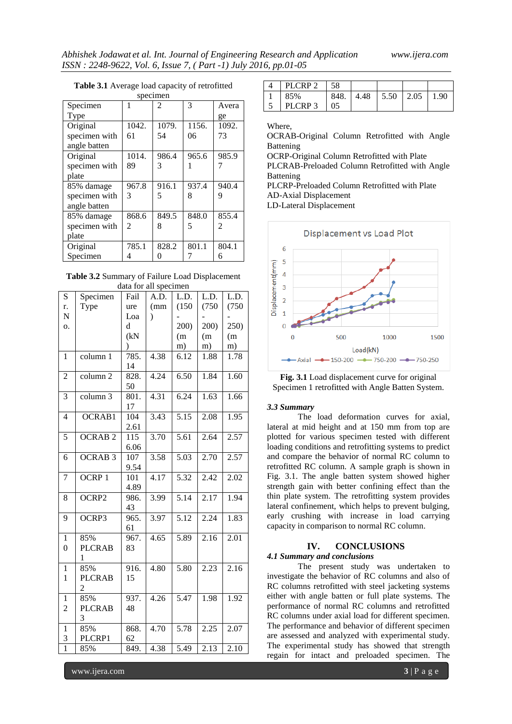| specimen      |                |       |       |       |  |  |  |
|---------------|----------------|-------|-------|-------|--|--|--|
| Specimen      |                | 2     | 3     | Avera |  |  |  |
| Type          |                |       |       | ge    |  |  |  |
| Original      | 1042.          | 1079. | 1156. | 1092. |  |  |  |
| specimen with | 61             | 54    | 06    | 73    |  |  |  |
| angle batten  |                |       |       |       |  |  |  |
| Original      | 1014.          | 986.4 | 965.6 | 985.9 |  |  |  |
| specimen with | 89             | 3     |       |       |  |  |  |
| plate         |                |       |       |       |  |  |  |
| 85% damage    | 967.8          | 916.1 | 937.4 | 940.4 |  |  |  |
| specimen with | 3              | 5     | 8     | 9     |  |  |  |
| angle batten  |                |       |       |       |  |  |  |
| 85% damage    | 868.6          | 849.5 | 848.0 | 855.4 |  |  |  |
| specimen with | $\mathfrak{D}$ | 8     | 5     | 2     |  |  |  |
| plate         |                |       |       |       |  |  |  |
| Original      | 785.1          | 828.2 | 801.1 | 804.1 |  |  |  |
| Specimen      | 4              |       |       | 6     |  |  |  |

## **Table 3.1** Average load capacity of retrofitted

**Table 3.2** Summary of Failure Load Displacement data for all specimen

| S                            | Specimen                               | Fail                     | A.D.      | L.D.              | L.D.  | L.D.              |
|------------------------------|----------------------------------------|--------------------------|-----------|-------------------|-------|-------------------|
| r.                           | Type                                   | ure                      | (mm)      | (150)             | (750) | (750)             |
| N                            |                                        | Loa                      | $\lambda$ |                   |       |                   |
| 0.                           |                                        | d                        |           | 200)              | 200)  | 250)              |
|                              |                                        | (kN)                     |           | (m)               | (m)   | (m)               |
|                              |                                        | $\mathcal{E}$            |           | m)                | m)    | m)                |
| 1                            | column 1                               | 785.<br>14               | 4.38      | 6.12              | 1.88  | 1.78              |
| $\overline{2}$               | column <sub>2</sub>                    | 828.<br>50               | 4.24      | 6.50              | 1.84  | 1.60              |
| 3                            | column 3                               | 801.<br>17               | 4.31      | 6.24              | 1.63  | 1.66              |
| $\overline{4}$               | OCRAB1                                 | 104<br>2.61              | 3.43      | 5.15              | 2.08  | 1.95              |
| 5                            | <b>OCRAB2</b>                          | 115<br>6.06              | 3.70      | 5.61              | 2.64  | 2.57              |
| 6                            | <b>OCRAB 3</b>                         | 107<br>9.54              | 3.58      | 5.03              | 2.70  | 2.57              |
| 7                            | OCRP <sub>1</sub>                      | 101<br>4.89              | 4.17      | 5.32              | 2.42  | 2.02              |
| 8                            | OCRP2                                  | 986.<br>43               | 3.99      | 5.14              | 2.17  | 1.94              |
| 9                            | OCRP3                                  | 965.<br>61               | 3.97      | $\overline{5.12}$ | 2.24  | 1.83              |
| $\mathbf{1}$<br>$\theta$     | 85%<br><b>PLCRAB</b><br>1              | $\overline{967}$ .<br>83 | 4.65      | $\overline{5.89}$ | 2.16  | $\overline{2.01}$ |
| $\mathbf{1}$<br>$\mathbf{1}$ | 85%<br><b>PLCRAB</b><br>$\overline{c}$ | 916.<br>15               | 4.80      | 5.80              | 2.23  | 2.16              |
| 1<br>$\overline{2}$          | 85%<br><b>PLCRAB</b><br>3              | 937.<br>48               | 4.26      | 5.47              | 1.98  | 1.92              |
| 1<br>3                       | 85%<br>PLCRP1                          | 868.<br>62               | 4.70      | 5.78              | 2.25  | 2.07              |
| $\overline{1}$               | 85%                                    | 849.                     | 4.38      | 5.49              | 2.13  | 2.10              |

| PLCRP <sub>2</sub> | 58   |                      |      |
|--------------------|------|----------------------|------|
| 85%                | 848. | $4.48$   5.50   2.05 | 1.90 |
| PLCRP <sub>3</sub> | 05   |                      |      |

#### Where,

OCRAB-Original Column Retrofitted with Angle Battening

OCRP-Original Column Retrofitted with Plate

PLCRAB-Preloaded Column Retrofitted with Angle Battening

PLCRP-Preloaded Column Retrofitted with Plate AD-Axial Displacement

LD-Lateral Displacement





#### *3.3 Summary*

The load deformation curves for axial, lateral at mid height and at 150 mm from top are plotted for various specimen tested with different loading conditions and retrofitting systems to predict and compare the behavior of normal RC column to retrofitted RC column. A sample graph is shown in Fig. 3.1. The angle batten system showed higher strength gain with better confining effect than the thin plate system. The retrofitting system provides lateral confinement, which helps to prevent bulging, early crushing with increase in load carrying capacity in comparison to normal RC column.

## **IV. CONCLUSIONS**

## *4.1 Summary and conclusions*

The present study was undertaken to investigate the behavior of RC columns and also of RC columns retrofitted with steel jacketing systems either with angle batten or full plate systems. The performance of normal RC columns and retrofitted RC columns under axial load for different specimen. The performance and behavior of different specimen are assessed and analyzed with experimental study. The experimental study has showed that strength regain for intact and preloaded specimen. The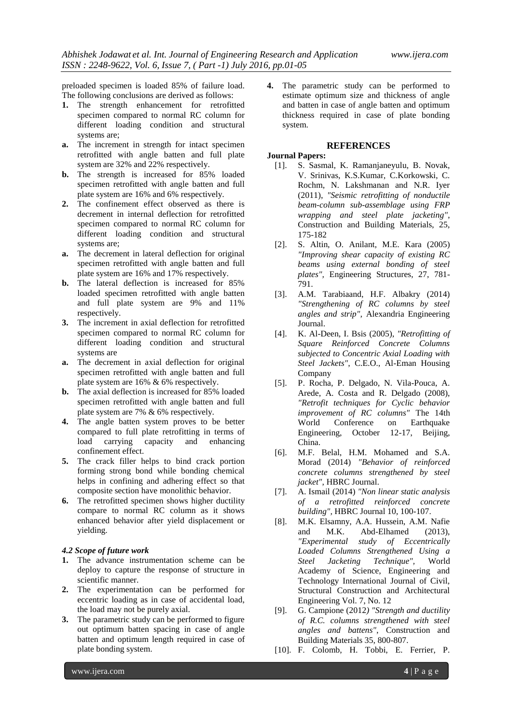preloaded specimen is loaded 85% of failure load. The following conclusions are derived as follows:

- **1.** The strength enhancement for retrofitted specimen compared to normal RC column for different loading condition and structural systems are;
- **a.** The increment in strength for intact specimen retrofitted with angle batten and full plate system are 32% and 22% respectively.
- **b.** The strength is increased for 85% loaded specimen retrofitted with angle batten and full plate system are 16% and 6% respectively.
- **2.** The confinement effect observed as there is decrement in internal deflection for retrofitted specimen compared to normal RC column for different loading condition and structural systems are;
- **a.** The decrement in lateral deflection for original specimen retrofitted with angle batten and full plate system are 16% and 17% respectively.
- **b.** The lateral deflection is increased for 85% loaded specimen retrofitted with angle batten and full plate system are 9% and 11% respectively.
- **3.** The increment in axial deflection for retrofitted specimen compared to normal RC column for different loading condition and structural systems are
- **a.** The decrement in axial deflection for original specimen retrofitted with angle batten and full plate system are 16% & 6% respectively.
- **b.** The axial deflection is increased for 85% loaded specimen retrofitted with angle batten and full plate system are 7% & 6% respectively.
- **4.** The angle batten system proves to be better compared to full plate retrofitting in terms of load carrying capacity and enhancing confinement effect.
- **5.** The crack filler helps to bind crack portion forming strong bond while bonding chemical helps in confining and adhering effect so that composite section have monolithic behavior.
- **6.** The retrofitted specimen shows higher ductility compare to normal RC column as it shows enhanced behavior after yield displacement or yielding.

## *4.2 Scope of future work*

- **1.** The advance instrumentation scheme can be deploy to capture the response of structure in scientific manner.
- **2.** The experimentation can be performed for eccentric loading as in case of accidental load, the load may not be purely axial.
- **3.** The parametric study can be performed to figure out optimum batten spacing in case of angle batten and optimum length required in case of plate bonding system.

**4.** The parametric study can be performed to estimate optimum size and thickness of angle and batten in case of angle batten and optimum thickness required in case of plate bonding system.

## **REFERENCES**

## **Journal Papers:**

- [1]. S. Sasmal, K. Ramanjaneyulu, B. Novak, V. Srinivas, K.S.Kumar, C.Korkowski, C. Rochm, N. Lakshmanan and N.R. Iyer (2011), *"Seismic retrofitting of nonductile beam-column sub-assemblage using FRP wrapping and steel plate jacketing"*, Construction and Building Materials, 25, 175-182
- [2]. S. Altin, O. Anilant, M.E. Kara (2005) *"Improving shear capacity of existing RC beams using external bonding of steel plates",* Engineering Structures, 27, 781- 791.
- [3]. A.M. Tarabiaand, H.F. Albakry (2014) *"Strengthening of RC columns by steel angles and strip",* Alexandria Engineering Journal.
- [4]. K. Al-Deen, I. Bsis (2005), *"Retrofitting of Square Reinforced Concrete Columns subjected to Concentric Axial Loading with Steel Jackets"*, C.E.O., Al-Eman Housing Company
- [5]. P. Rocha, P. Delgado, N. Vila-Pouca, A. Arede, A. Costa and R. Delgado (2008), *"Retrofit techniques for Cyclic behavior improvement of RC columns"* The 14th World Conference on Earthquake Engineering, October 12-17, Beijing, China.
- [6]. M.F. Belal, H.M. Mohamed and S.A. Morad (2014) *"Behavior of reinforced concrete columns strengthened by steel jacket"*, HBRC Journal.
- [7]. A. Ismail (2014) *"Non linear static analysis of a retrofitted reinforced concrete building",* HBRC Journal 10, 100-107.
- [8]. M.K. Elsamny, A.A. Hussein, A.M. Nafie and M.K. Abd-Elhamed (2013), *"Experimental study of Eccentrically Loaded Columns Strengthened Using a Steel Jacketing Technique",* World Academy of Science, Engineering and Technology International Journal of Civil, Structural Construction and Architectural Engineering Vol. 7, No. 12
- [9]. G. Campione (2012*) "Strength and ductility of R.C. columns strengthened with steel angles and battens"*, Construction and Building Materials 35, 800-807.
- [10]. F. Colomb, H. Tobbi, E. Ferrier, P.